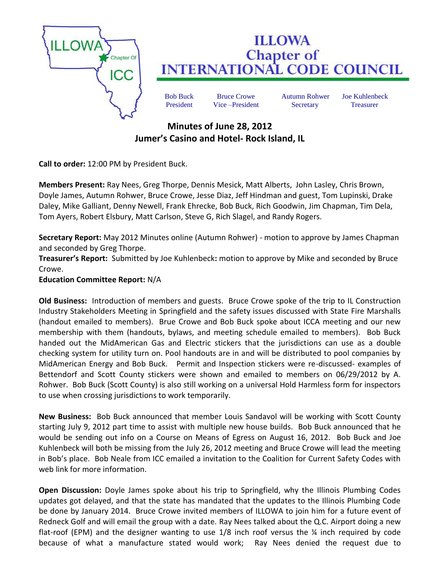

## **ILLOWA Chapter of INTERNATIONAL CODE COUNCIL**

Bob Buck Bruce Crowe Autumn Rohwer Joe Kuhlenbeck President Vice –President Secretary Treasurer

## **Minutes of June 28, 2012 Jumer's Casino and Hotel- Rock Island, IL**

**Call to order:** 12:00 PM by President Buck.

**Members Present:** Ray Nees, Greg Thorpe, Dennis Mesick, Matt Alberts, John Lasley, Chris Brown, Doyle James, Autumn Rohwer, Bruce Crowe, Jesse Diaz, Jeff Hindman and guest, Tom Lupinski, Drake Daley, Mike Galliant, Denny Newell, Frank Ehrecke, Bob Buck, Rich Goodwin, Jim Chapman, Tim Dela, Tom Ayers, Robert Elsbury, Matt Carlson, Steve G, Rich Slagel, and Randy Rogers.

**Secretary Report:** May 2012 Minutes online (Autumn Rohwer) - motion to approve by James Chapman and seconded by Greg Thorpe.

**Treasurer's Report:** Submitted by Joe Kuhlenbeck**:** motion to approve by Mike and seconded by Bruce Crowe.

## **Education Committee Report:** N/A

**Old Business:** Introduction of members and guests. Bruce Crowe spoke of the trip to IL Construction Industry Stakeholders Meeting in Springfield and the safety issues discussed with State Fire Marshalls (handout emailed to members). Brue Crowe and Bob Buck spoke about ICCA meeting and our new membership with them (handouts, bylaws, and meeting schedule emailed to members). Bob Buck handed out the MidAmerican Gas and Electric stickers that the jurisdictions can use as a double checking system for utility turn on. Pool handouts are in and will be distributed to pool companies by MidAmerican Energy and Bob Buck. Permit and Inspection stickers were re-discussed- examples of Bettendorf and Scott County stickers were shown and emailed to members on 06/29/2012 by A. Rohwer. Bob Buck (Scott County) is also still working on a universal Hold Harmless form for inspectors to use when crossing jurisdictions to work temporarily.

**New Business:** Bob Buck announced that member Louis Sandavol will be working with Scott County starting July 9, 2012 part time to assist with multiple new house builds. Bob Buck announced that he would be sending out info on a Course on Means of Egress on August 16, 2012. Bob Buck and Joe Kuhlenbeck will both be missing from the July 26, 2012 meeting and Bruce Crowe will lead the meeting in Bob's place. Bob Neale from ICC emailed a invitation to the Coalition for Current Safety Codes with web link for more information.

**Open Discussion:** Doyle James spoke about his trip to Springfield, why the Illinois Plumbing Codes updates got delayed, and that the state has mandated that the updates to the Illinois Plumbing Code be done by January 2014. Bruce Crowe invited members of ILLOWA to join him for a future event of Redneck Golf and will email the group with a date. Ray Nees talked about the Q.C. Airport doing a new flat-roof (EPM) and the designer wanting to use  $1/8$  inch roof versus the  $\frac{1}{4}$  inch required by code because of what a manufacture stated would work; Ray Nees denied the request due to